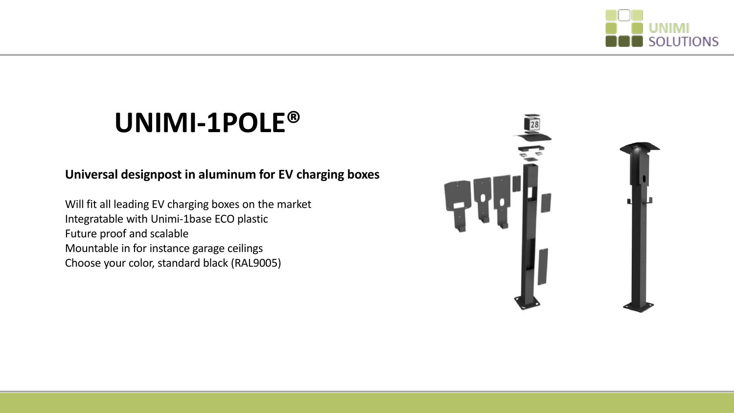

# **UNIMI-1POLE®**

#### **Universal designpost in aluminum for EV charging boxes**

Will fit all leading EV charging boxes on the market Integratable with Unimi-1base ECO plastic Future proof and scalable Mountable in for instance garage ceilings Choose your color, standard black (RAL9005)

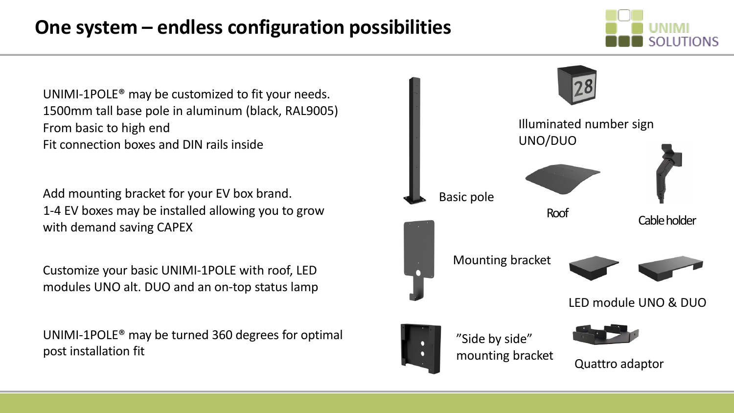## **One system – endless configuration possibilities**



UNIMI-1POLE® may be customized to fit your needs. 1500mm tall base pole in aluminum (black, RAL9005) From basic to high end Fit connection boxes and DIN rails inside

Add mounting bracket for your EV box brand. 1-4 EV boxes may be installed allowing you to grow with demand saving CAPEX

Customize your basic UNIMI-1POLE with roof, LED modules UNO alt. DUO and an on-top status lamp

UNIMI-1POLE® may be turned 360 degrees for optimal post installation fit

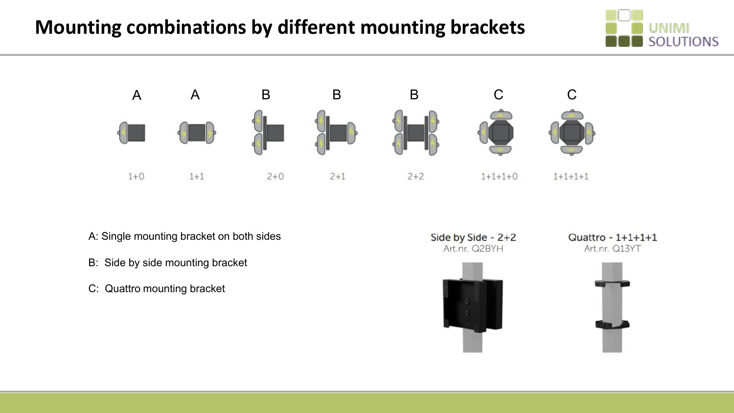### **Mounting combinations by different mounting brackets**





- A: Single mounting bracket on both sides
- B: Side by side mounting bracket
- C: Quattro mounting bracket





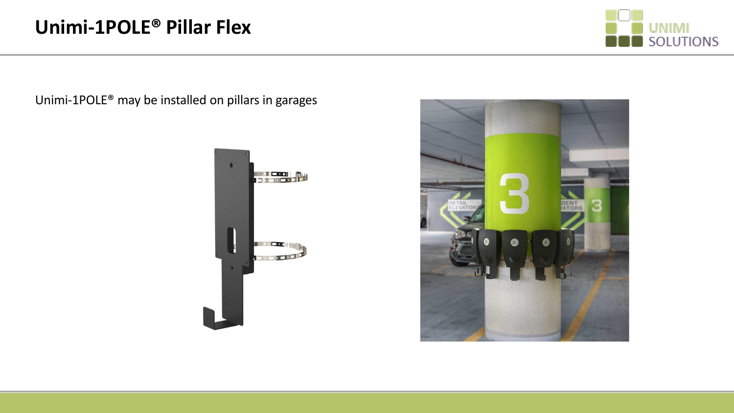

Unimi-1POLE® may be installed on pillars in garages



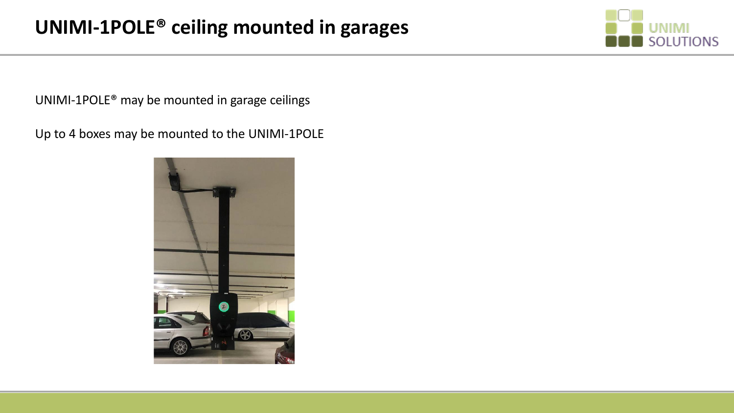

UNIMI-1POLE® may be mounted in garage ceilings

Up to 4 boxes may be mounted to the UNIMI-1POLE

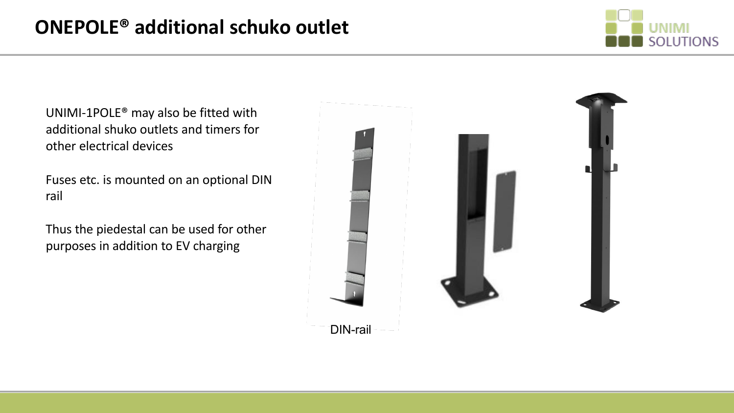

UNIMI-1POLE® may also be fitted with additional shuko outlets and timers for other electrical devices

Fuses etc. is mounted on an optional DIN rail

Thus the piedestal can be used for other purposes in addition to EV charging

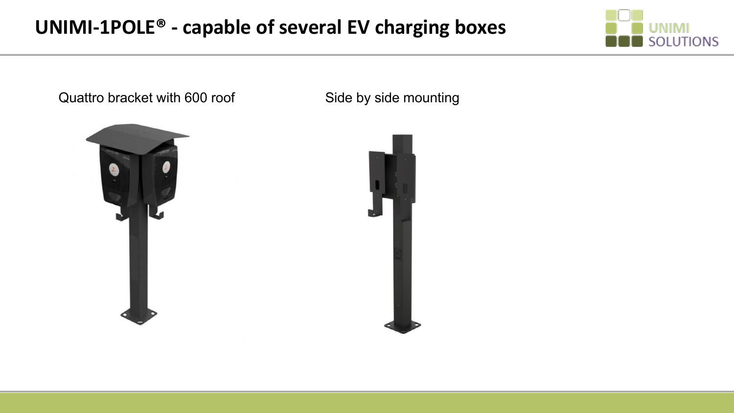#### **UNIMI-1POLE® - capable of several EV charging boxes**



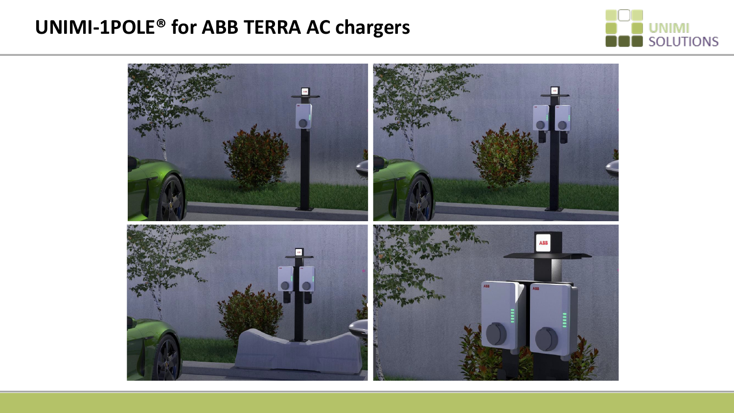#### **UNIMI-1POLE® for ABB TERRA AC chargers**